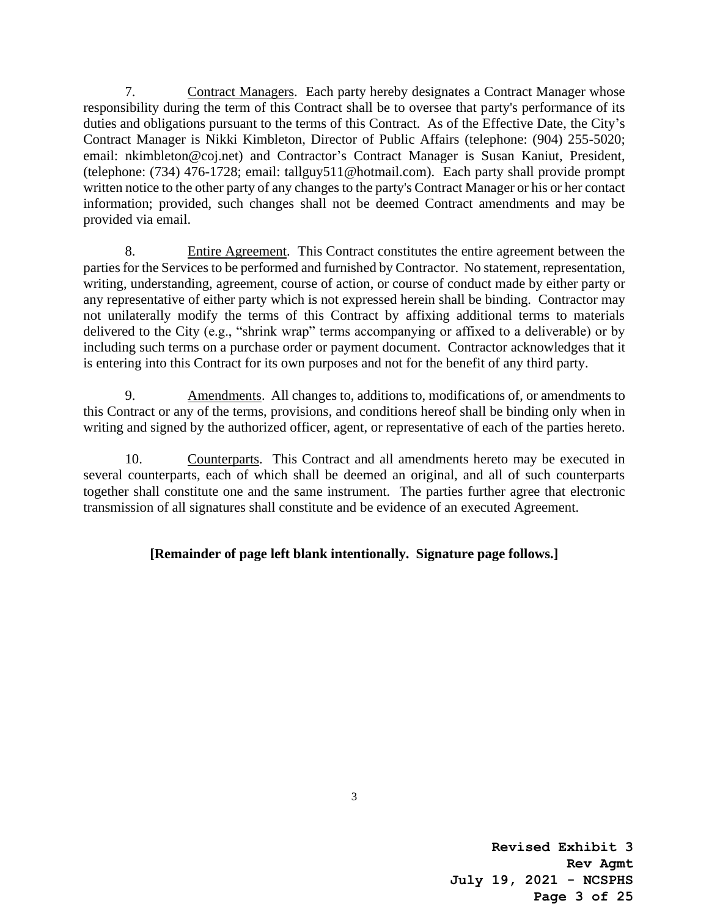7. Contract Managers. Each party hereby designates a Contract Manager whose responsibility during the term of this Contract shall be to oversee that party's performance of its duties and obligations pursuant to the terms of this Contract. As of the Effective Date, the City's Contract Manager is Nikki Kimbleton, Director of Public Affairs (telephone: (904) 255-5020; email: nkimbleton@coj.net) and Contractor's Contract Manager is Susan Kaniut, President, (telephone: (734) 476-1728; email: tallguy511@hotmail.com). Each party shall provide prompt written notice to the other party of any changes to the party's Contract Manager or his or her contact information; provided, such changes shall not be deemed Contract amendments and may be provided via email.

8. Entire Agreement. This Contract constitutes the entire agreement between the parties for the Services to be performed and furnished by Contractor. No statement, representation, writing, understanding, agreement, course of action, or course of conduct made by either party or any representative of either party which is not expressed herein shall be binding. Contractor may not unilaterally modify the terms of this Contract by affixing additional terms to materials delivered to the City (e.g., "shrink wrap" terms accompanying or affixed to a deliverable) or by including such terms on a purchase order or payment document. Contractor acknowledges that it is entering into this Contract for its own purposes and not for the benefit of any third party.

9. Amendments. All changes to, additions to, modifications of, or amendments to this Contract or any of the terms, provisions, and conditions hereof shall be binding only when in writing and signed by the authorized officer, agent, or representative of each of the parties hereto.

10. Counterparts. This Contract and all amendments hereto may be executed in several counterparts, each of which shall be deemed an original, and all of such counterparts together shall constitute one and the same instrument. The parties further agree that electronic transmission of all signatures shall constitute and be evidence of an executed Agreement.

### **[Remainder of page left blank intentionally. Signature page follows.]**

**Revised Exhibit 3 Rev Agmt July 19, 2021 - NCSPHS Page 3 of 25**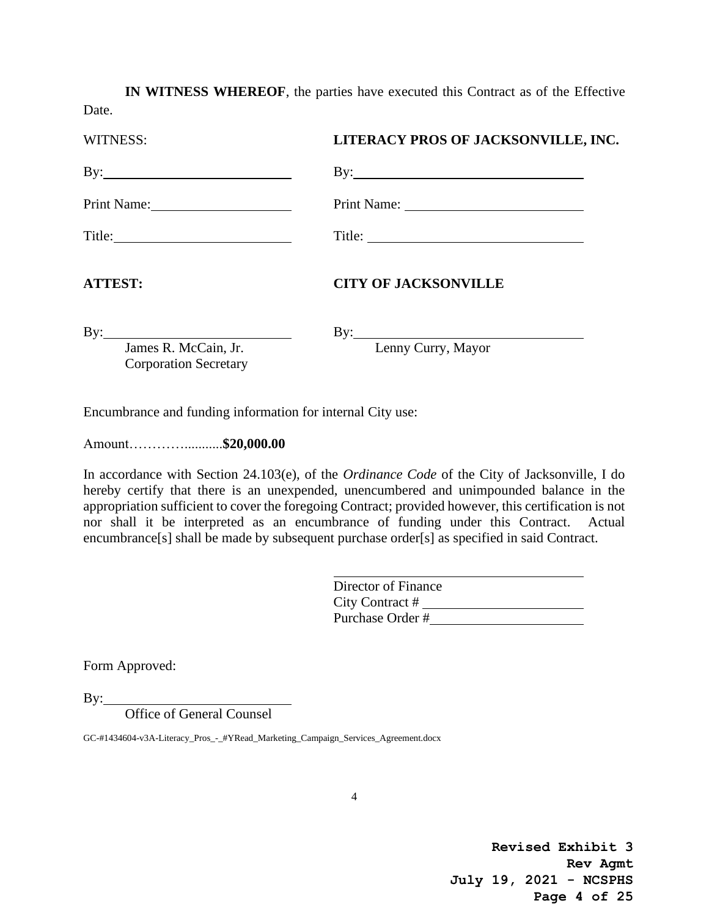**IN WITNESS WHEREOF**, the parties have executed this Contract as of the Effective Date.

| LITERACY PROS OF JACKSONVILLE, INC.                 |
|-----------------------------------------------------|
|                                                     |
|                                                     |
|                                                     |
| <b>CITY OF JACKSONVILLE</b>                         |
| $\mathbf{By:}\_\_\_\_\_\_\_\$<br>Lenny Curry, Mayor |
|                                                     |

Encumbrance and funding information for internal City use:

Amount…………...........**\$20,000.00**

In accordance with Section 24.103(e), of the *Ordinance Code* of the City of Jacksonville, I do hereby certify that there is an unexpended, unencumbered and unimpounded balance in the appropriation sufficient to cover the foregoing Contract; provided however, this certification is not nor shall it be interpreted as an encumbrance of funding under this Contract. Actual encumbrance[s] shall be made by subsequent purchase order[s] as specified in said Contract.

| Director of Finance |  |
|---------------------|--|
| City Contract #     |  |
| Purchase Order #    |  |

Form Approved:

 $By:$ 

Office of General Counsel

GC-#1434604-v3A-Literacy\_Pros\_-\_#YRead\_Marketing\_Campaign\_Services\_Agreement.docx

**Revised Exhibit 3 Rev Agmt July 19, 2021 - NCSPHS Page 4 of 25**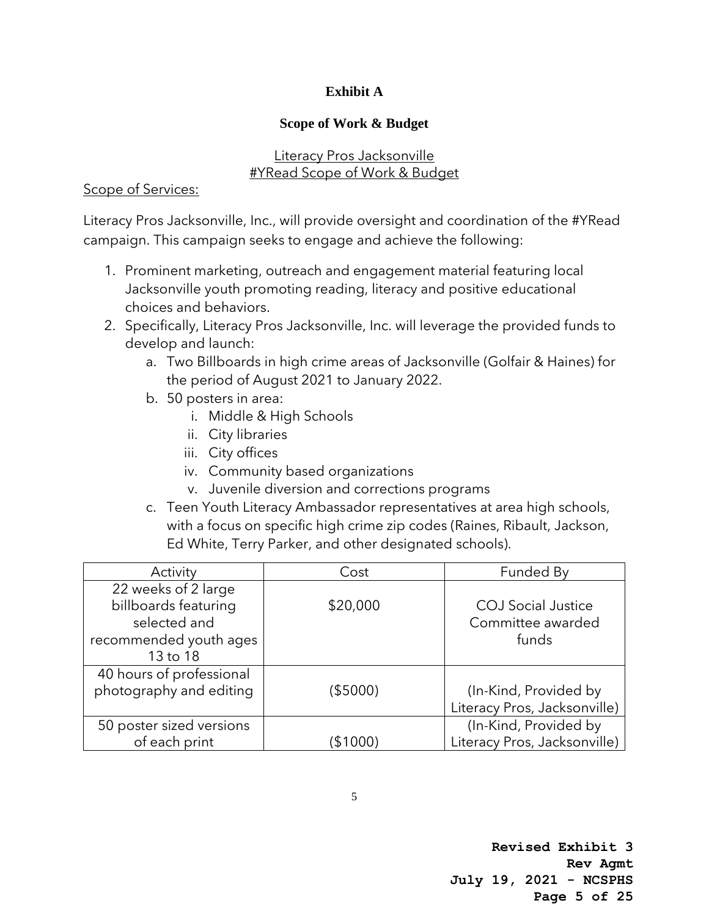## **Exhibit A**

## **Scope of Work & Budget**

## Literacy Pros Jacksonville #YRead Scope of Work & Budget

## Scope of Services:

Literacy Pros Jacksonville, Inc., will provide oversight and coordination of the #YRead campaign. This campaign seeks to engage and achieve the following:

- 1. Prominent marketing, outreach and engagement material featuring local Jacksonville youth promoting reading, literacy and positive educational choices and behaviors.
- 2. Specifically, Literacy Pros Jacksonville, Inc. will leverage the provided funds to develop and launch:
	- a. Two Billboards in high crime areas of Jacksonville (Golfair & Haines) for the period of August 2021 to January 2022.
	- b. 50 posters in area:
		- i. Middle & High Schools
		- ii. City libraries
		- iii. City offices
		- iv. Community based organizations
		- v. Juvenile diversion and corrections programs
	- c. Teen Youth Literacy Ambassador representatives at area high schools, with a focus on specific high crime zip codes (Raines, Ribault, Jackson, Ed White, Terry Parker, and other designated schools).

| Activity                 | Cost     | Funded By                    |
|--------------------------|----------|------------------------------|
| 22 weeks of 2 large      |          |                              |
| billboards featuring     | \$20,000 | <b>COJ</b> Social Justice    |
| selected and             |          | Committee awarded            |
| recommended youth ages   |          | funds                        |
| 13 to 18                 |          |                              |
| 40 hours of professional |          |                              |
| photography and editing  | (\$5000) | (In-Kind, Provided by        |
|                          |          | Literacy Pros, Jacksonville) |
| 50 poster sized versions |          | (In-Kind, Provided by        |
| of each print            | (\$1000) | Literacy Pros, Jacksonville) |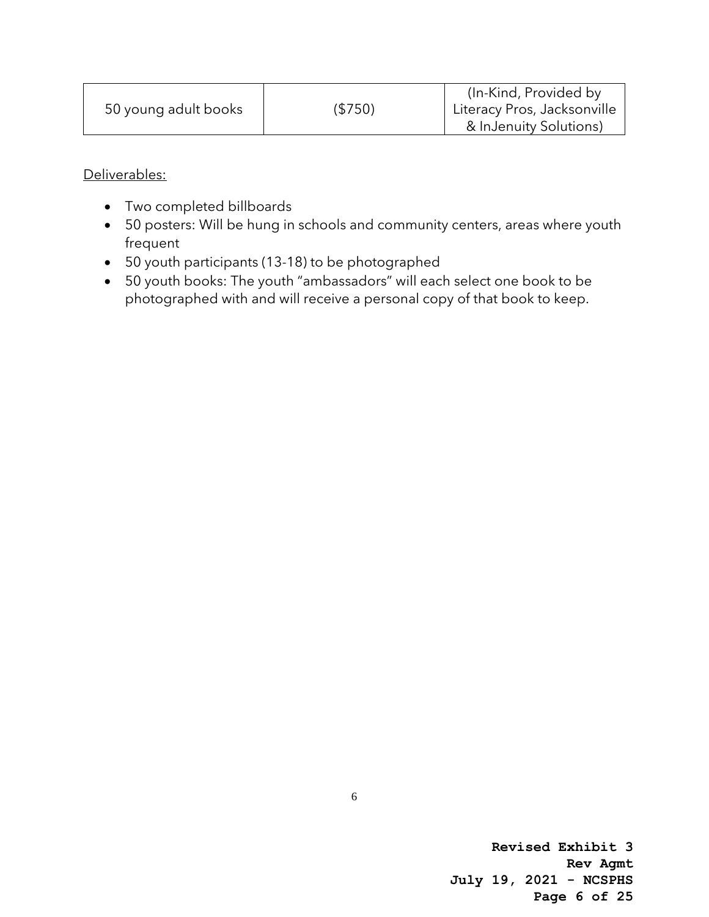|                      |          | (In-Kind, Provided by)      |
|----------------------|----------|-----------------------------|
| 50 young adult books | ( \$750) | Literacy Pros, Jacksonville |
|                      |          | & InJenuity Solutions)      |

Deliverables:

- Two completed billboards
- 50 posters: Will be hung in schools and community centers, areas where youth frequent
- 50 youth participants (13-18) to be photographed
- 50 youth books: The youth "ambassadors" will each select one book to be photographed with and will receive a personal copy of that book to keep.

**Revised Exhibit 3 Rev Agmt July 19, 2021 - NCSPHS Page 6 of 25**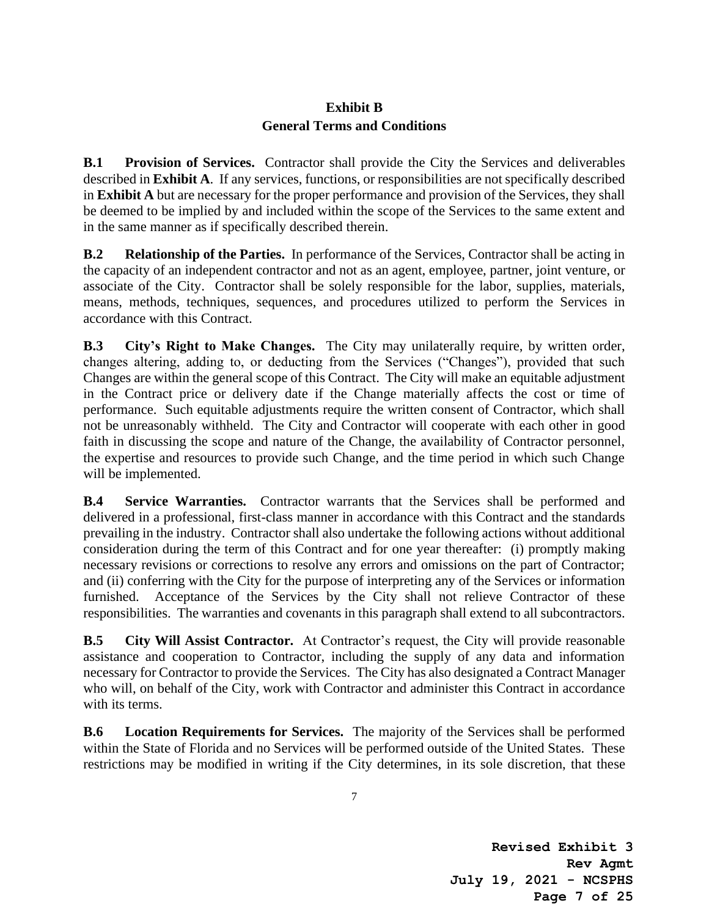## **Exhibit B General Terms and Conditions**

**B.1 Provision of Services.** Contractor shall provide the City the Services and deliverables described in **Exhibit A**. If any services, functions, or responsibilities are not specifically described in **Exhibit A** but are necessary for the proper performance and provision of the Services, they shall be deemed to be implied by and included within the scope of the Services to the same extent and in the same manner as if specifically described therein.

**B.2 Relationship of the Parties.** In performance of the Services, Contractor shall be acting in the capacity of an independent contractor and not as an agent, employee, partner, joint venture, or associate of the City. Contractor shall be solely responsible for the labor, supplies, materials, means, methods, techniques, sequences, and procedures utilized to perform the Services in accordance with this Contract.

**B.3 City's Right to Make Changes.** The City may unilaterally require, by written order, changes altering, adding to, or deducting from the Services ("Changes"), provided that such Changes are within the general scope of this Contract. The City will make an equitable adjustment in the Contract price or delivery date if the Change materially affects the cost or time of performance. Such equitable adjustments require the written consent of Contractor, which shall not be unreasonably withheld. The City and Contractor will cooperate with each other in good faith in discussing the scope and nature of the Change, the availability of Contractor personnel, the expertise and resources to provide such Change, and the time period in which such Change will be implemented.

**B.4 Service Warranties.** Contractor warrants that the Services shall be performed and delivered in a professional, first-class manner in accordance with this Contract and the standards prevailing in the industry. Contractor shall also undertake the following actions without additional consideration during the term of this Contract and for one year thereafter: (i) promptly making necessary revisions or corrections to resolve any errors and omissions on the part of Contractor; and (ii) conferring with the City for the purpose of interpreting any of the Services or information furnished. Acceptance of the Services by the City shall not relieve Contractor of these responsibilities. The warranties and covenants in this paragraph shall extend to all subcontractors.

**B.5 City Will Assist Contractor.** At Contractor's request, the City will provide reasonable assistance and cooperation to Contractor, including the supply of any data and information necessary for Contractor to provide the Services. The City has also designated a Contract Manager who will, on behalf of the City, work with Contractor and administer this Contract in accordance with its terms.

**B.6 Location Requirements for Services.** The majority of the Services shall be performed within the State of Florida and no Services will be performed outside of the United States. These restrictions may be modified in writing if the City determines, in its sole discretion, that these

7

**Revised Exhibit 3 Rev Agmt July 19, 2021 - NCSPHS Page 7 of 25**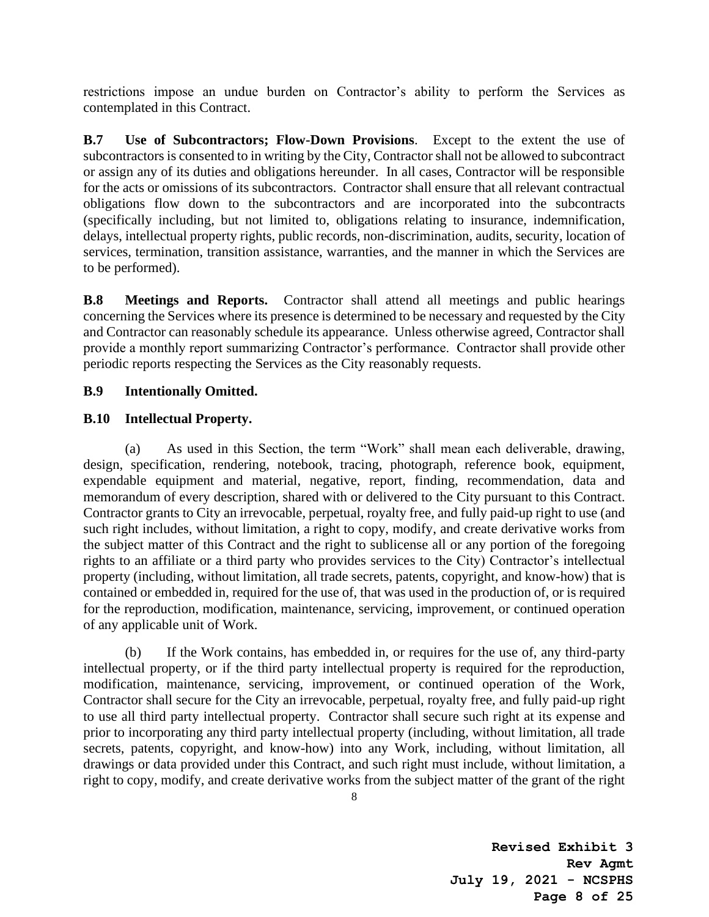restrictions impose an undue burden on Contractor's ability to perform the Services as contemplated in this Contract.

**B.7 Use of Subcontractors; Flow-Down Provisions**. Except to the extent the use of subcontractors is consented to in writing by the City, Contractor shall not be allowed to subcontract or assign any of its duties and obligations hereunder. In all cases, Contractor will be responsible for the acts or omissions of its subcontractors. Contractor shall ensure that all relevant contractual obligations flow down to the subcontractors and are incorporated into the subcontracts (specifically including, but not limited to, obligations relating to insurance, indemnification, delays, intellectual property rights, public records, non-discrimination, audits, security, location of services, termination, transition assistance, warranties, and the manner in which the Services are to be performed).

**B.8 Meetings and Reports.** Contractor shall attend all meetings and public hearings concerning the Services where its presence is determined to be necessary and requested by the City and Contractor can reasonably schedule its appearance. Unless otherwise agreed, Contractor shall provide a monthly report summarizing Contractor's performance. Contractor shall provide other periodic reports respecting the Services as the City reasonably requests.

#### **B.9 Intentionally Omitted.**

#### **B.10 Intellectual Property.**

(a) As used in this Section, the term "Work" shall mean each deliverable, drawing, design, specification, rendering, notebook, tracing, photograph, reference book, equipment, expendable equipment and material, negative, report, finding, recommendation, data and memorandum of every description, shared with or delivered to the City pursuant to this Contract. Contractor grants to City an irrevocable, perpetual, royalty free, and fully paid-up right to use (and such right includes, without limitation, a right to copy, modify, and create derivative works from the subject matter of this Contract and the right to sublicense all or any portion of the foregoing rights to an affiliate or a third party who provides services to the City) Contractor's intellectual property (including, without limitation, all trade secrets, patents, copyright, and know-how) that is contained or embedded in, required for the use of, that was used in the production of, or is required for the reproduction, modification, maintenance, servicing, improvement, or continued operation of any applicable unit of Work.

(b) If the Work contains, has embedded in, or requires for the use of, any third-party intellectual property, or if the third party intellectual property is required for the reproduction, modification, maintenance, servicing, improvement, or continued operation of the Work, Contractor shall secure for the City an irrevocable, perpetual, royalty free, and fully paid-up right to use all third party intellectual property. Contractor shall secure such right at its expense and prior to incorporating any third party intellectual property (including, without limitation, all trade secrets, patents, copyright, and know-how) into any Work, including, without limitation, all drawings or data provided under this Contract, and such right must include, without limitation, a right to copy, modify, and create derivative works from the subject matter of the grant of the right

**Revised Exhibit 3 Rev Agmt July 19, 2021 - NCSPHS Page 8 of 25**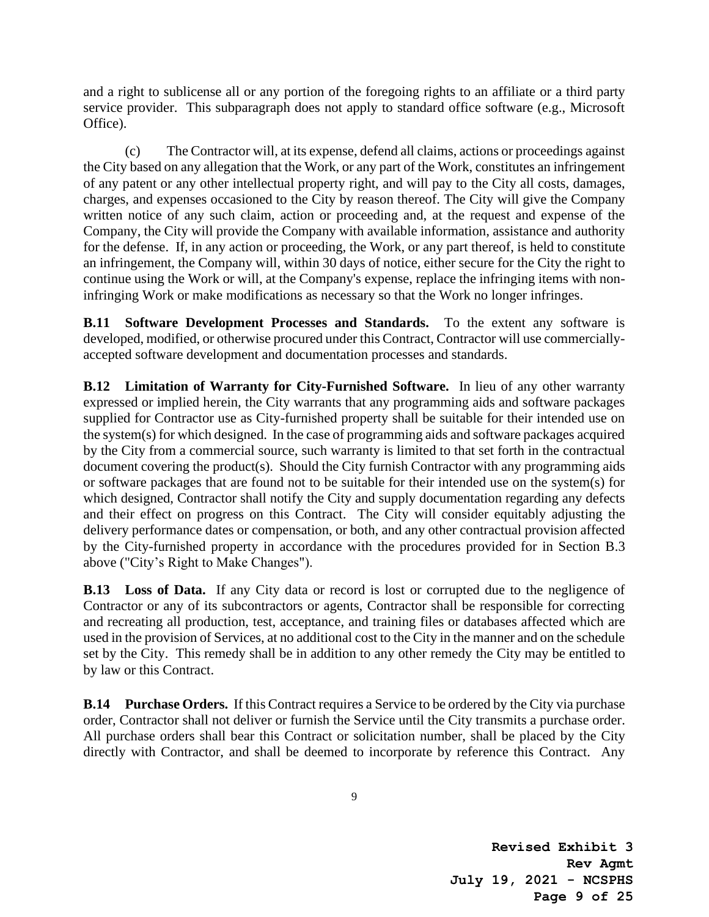and a right to sublicense all or any portion of the foregoing rights to an affiliate or a third party service provider. This subparagraph does not apply to standard office software (e.g., Microsoft Office).

(c) The Contractor will, at its expense, defend all claims, actions or proceedings against the City based on any allegation that the Work, or any part of the Work, constitutes an infringement of any patent or any other intellectual property right, and will pay to the City all costs, damages, charges, and expenses occasioned to the City by reason thereof. The City will give the Company written notice of any such claim, action or proceeding and, at the request and expense of the Company, the City will provide the Company with available information, assistance and authority for the defense. If, in any action or proceeding, the Work, or any part thereof, is held to constitute an infringement, the Company will, within 30 days of notice, either secure for the City the right to continue using the Work or will, at the Company's expense, replace the infringing items with noninfringing Work or make modifications as necessary so that the Work no longer infringes.

**B.11 Software Development Processes and Standards.** To the extent any software is developed, modified, or otherwise procured under this Contract, Contractor will use commerciallyaccepted software development and documentation processes and standards.

**B.12 Limitation of Warranty for City-Furnished Software.** In lieu of any other warranty expressed or implied herein, the City warrants that any programming aids and software packages supplied for Contractor use as City-furnished property shall be suitable for their intended use on the system(s) for which designed. In the case of programming aids and software packages acquired by the City from a commercial source, such warranty is limited to that set forth in the contractual document covering the product(s). Should the City furnish Contractor with any programming aids or software packages that are found not to be suitable for their intended use on the system(s) for which designed, Contractor shall notify the City and supply documentation regarding any defects and their effect on progress on this Contract. The City will consider equitably adjusting the delivery performance dates or compensation, or both, and any other contractual provision affected by the City-furnished property in accordance with the procedures provided for in Section B.3 above ("City's Right to Make Changes").

**B.13 Loss of Data.** If any City data or record is lost or corrupted due to the negligence of Contractor or any of its subcontractors or agents, Contractor shall be responsible for correcting and recreating all production, test, acceptance, and training files or databases affected which are used in the provision of Services, at no additional cost to the City in the manner and on the schedule set by the City. This remedy shall be in addition to any other remedy the City may be entitled to by law or this Contract.

**B.14 Purchase Orders.** If this Contract requires a Service to be ordered by the City via purchase order, Contractor shall not deliver or furnish the Service until the City transmits a purchase order. All purchase orders shall bear this Contract or solicitation number, shall be placed by the City directly with Contractor, and shall be deemed to incorporate by reference this Contract. Any

**Revised Exhibit 3 Rev Agmt July 19, 2021 - NCSPHS Page 9 of 25**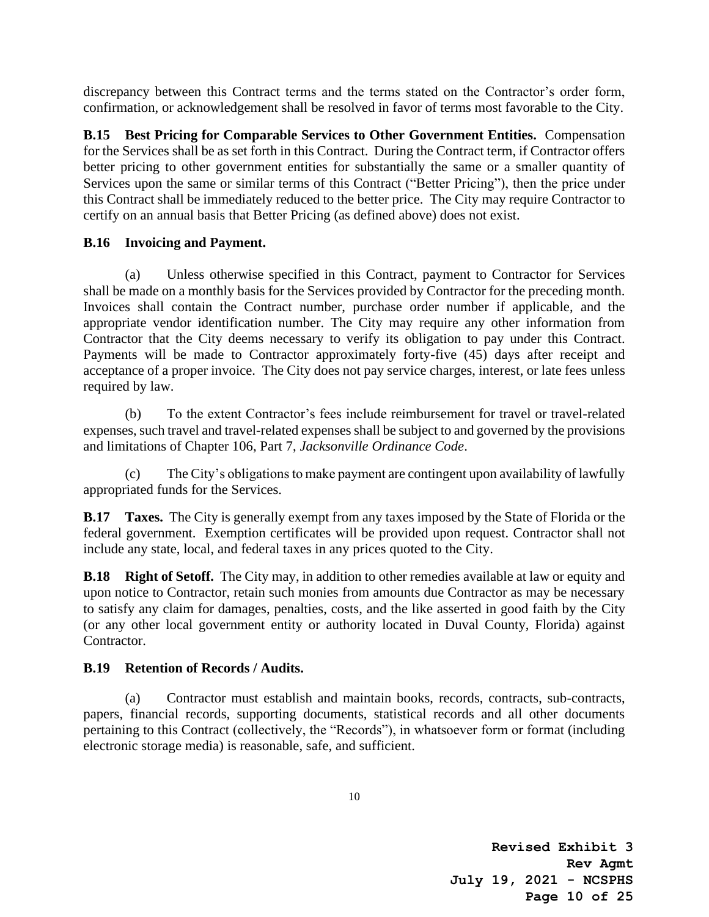discrepancy between this Contract terms and the terms stated on the Contractor's order form, confirmation, or acknowledgement shall be resolved in favor of terms most favorable to the City.

**B.15 Best Pricing for Comparable Services to Other Government Entities.** Compensation for the Services shall be as set forth in this Contract. During the Contract term, if Contractor offers better pricing to other government entities for substantially the same or a smaller quantity of Services upon the same or similar terms of this Contract ("Better Pricing"), then the price under this Contract shall be immediately reduced to the better price. The City may require Contractor to certify on an annual basis that Better Pricing (as defined above) does not exist.

#### **B.16 Invoicing and Payment.**

(a) Unless otherwise specified in this Contract, payment to Contractor for Services shall be made on a monthly basis for the Services provided by Contractor for the preceding month. Invoices shall contain the Contract number, purchase order number if applicable, and the appropriate vendor identification number. The City may require any other information from Contractor that the City deems necessary to verify its obligation to pay under this Contract. Payments will be made to Contractor approximately forty-five (45) days after receipt and acceptance of a proper invoice. The City does not pay service charges, interest, or late fees unless required by law.

(b) To the extent Contractor's fees include reimbursement for travel or travel-related expenses, such travel and travel-related expenses shall be subject to and governed by the provisions and limitations of Chapter 106, Part 7, *Jacksonville Ordinance Code*.

(c) The City's obligations to make payment are contingent upon availability of lawfully appropriated funds for the Services.

**B.17 Taxes.** The City is generally exempt from any taxes imposed by the State of Florida or the federal government. Exemption certificates will be provided upon request. Contractor shall not include any state, local, and federal taxes in any prices quoted to the City.

**B.18 Right of Setoff.** The City may, in addition to other remedies available at law or equity and upon notice to Contractor, retain such monies from amounts due Contractor as may be necessary to satisfy any claim for damages, penalties, costs, and the like asserted in good faith by the City (or any other local government entity or authority located in Duval County, Florida) against Contractor.

### **B.19 Retention of Records / Audits.**

(a) Contractor must establish and maintain books, records, contracts, sub-contracts, papers, financial records, supporting documents, statistical records and all other documents pertaining to this Contract (collectively, the "Records"), in whatsoever form or format (including electronic storage media) is reasonable, safe, and sufficient.

**Revised Exhibit 3 Rev Agmt July 19, 2021 - NCSPHS Page 10 of 25**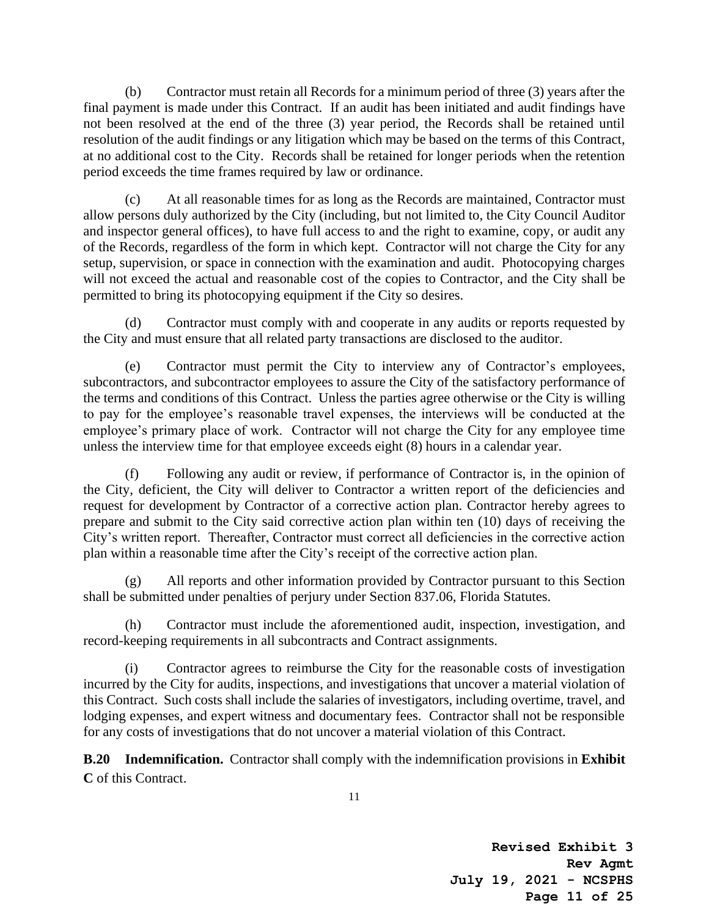(b) Contractor must retain all Records for a minimum period of three (3) years after the final payment is made under this Contract. If an audit has been initiated and audit findings have not been resolved at the end of the three (3) year period, the Records shall be retained until resolution of the audit findings or any litigation which may be based on the terms of this Contract, at no additional cost to the City. Records shall be retained for longer periods when the retention period exceeds the time frames required by law or ordinance.

(c) At all reasonable times for as long as the Records are maintained, Contractor must allow persons duly authorized by the City (including, but not limited to, the City Council Auditor and inspector general offices), to have full access to and the right to examine, copy, or audit any of the Records, regardless of the form in which kept. Contractor will not charge the City for any setup, supervision, or space in connection with the examination and audit. Photocopying charges will not exceed the actual and reasonable cost of the copies to Contractor, and the City shall be permitted to bring its photocopying equipment if the City so desires.

(d) Contractor must comply with and cooperate in any audits or reports requested by the City and must ensure that all related party transactions are disclosed to the auditor.

(e) Contractor must permit the City to interview any of Contractor's employees, subcontractors, and subcontractor employees to assure the City of the satisfactory performance of the terms and conditions of this Contract. Unless the parties agree otherwise or the City is willing to pay for the employee's reasonable travel expenses, the interviews will be conducted at the employee's primary place of work. Contractor will not charge the City for any employee time unless the interview time for that employee exceeds eight (8) hours in a calendar year.

(f) Following any audit or review, if performance of Contractor is, in the opinion of the City, deficient, the City will deliver to Contractor a written report of the deficiencies and request for development by Contractor of a corrective action plan. Contractor hereby agrees to prepare and submit to the City said corrective action plan within ten (10) days of receiving the City's written report. Thereafter, Contractor must correct all deficiencies in the corrective action plan within a reasonable time after the City's receipt of the corrective action plan.

(g) All reports and other information provided by Contractor pursuant to this Section shall be submitted under penalties of perjury under Section 837.06, Florida Statutes.

(h) Contractor must include the aforementioned audit, inspection, investigation, and record-keeping requirements in all subcontracts and Contract assignments.

(i) Contractor agrees to reimburse the City for the reasonable costs of investigation incurred by the City for audits, inspections, and investigations that uncover a material violation of this Contract. Such costs shall include the salaries of investigators, including overtime, travel, and lodging expenses, and expert witness and documentary fees. Contractor shall not be responsible for any costs of investigations that do not uncover a material violation of this Contract.

**B.20 Indemnification.** Contractor shall comply with the indemnification provisions in **Exhibit C** of this Contract.

**Revised Exhibit 3 Rev Agmt July 19, 2021 - NCSPHS Page 11 of 25**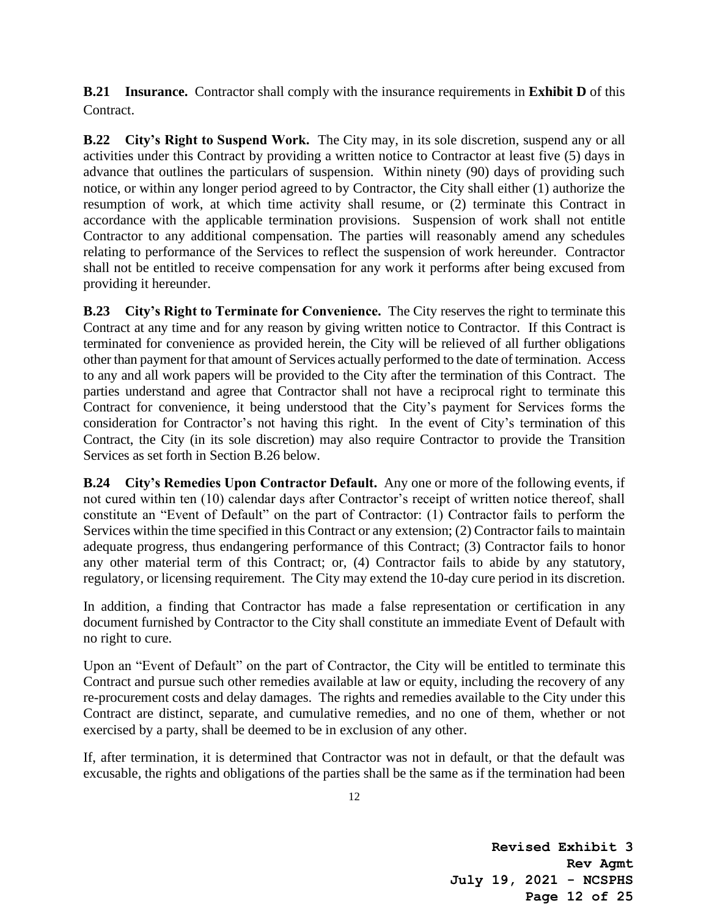**B.21 Insurance.** Contractor shall comply with the insurance requirements in **Exhibit D** of this Contract.

**B.22 City's Right to Suspend Work.** The City may, in its sole discretion, suspend any or all activities under this Contract by providing a written notice to Contractor at least five (5) days in advance that outlines the particulars of suspension. Within ninety (90) days of providing such notice, or within any longer period agreed to by Contractor, the City shall either (1) authorize the resumption of work, at which time activity shall resume, or (2) terminate this Contract in accordance with the applicable termination provisions. Suspension of work shall not entitle Contractor to any additional compensation. The parties will reasonably amend any schedules relating to performance of the Services to reflect the suspension of work hereunder. Contractor shall not be entitled to receive compensation for any work it performs after being excused from providing it hereunder.

**B.23 City's Right to Terminate for Convenience.** The City reserves the right to terminate this Contract at any time and for any reason by giving written notice to Contractor. If this Contract is terminated for convenience as provided herein, the City will be relieved of all further obligations other than payment for that amount of Services actually performed to the date of termination. Access to any and all work papers will be provided to the City after the termination of this Contract. The parties understand and agree that Contractor shall not have a reciprocal right to terminate this Contract for convenience, it being understood that the City's payment for Services forms the consideration for Contractor's not having this right. In the event of City's termination of this Contract, the City (in its sole discretion) may also require Contractor to provide the Transition Services as set forth in Section B.26 below.

**B.24 City's Remedies Upon Contractor Default.** Any one or more of the following events, if not cured within ten (10) calendar days after Contractor's receipt of written notice thereof, shall constitute an "Event of Default" on the part of Contractor: (1) Contractor fails to perform the Services within the time specified in this Contract or any extension; (2) Contractor fails to maintain adequate progress, thus endangering performance of this Contract; (3) Contractor fails to honor any other material term of this Contract; or, (4) Contractor fails to abide by any statutory, regulatory, or licensing requirement. The City may extend the 10-day cure period in its discretion.

In addition, a finding that Contractor has made a false representation or certification in any document furnished by Contractor to the City shall constitute an immediate Event of Default with no right to cure.

Upon an "Event of Default" on the part of Contractor, the City will be entitled to terminate this Contract and pursue such other remedies available at law or equity, including the recovery of any re-procurement costs and delay damages. The rights and remedies available to the City under this Contract are distinct, separate, and cumulative remedies, and no one of them, whether or not exercised by a party, shall be deemed to be in exclusion of any other.

If, after termination, it is determined that Contractor was not in default, or that the default was excusable, the rights and obligations of the parties shall be the same as if the termination had been

**Revised Exhibit 3 Rev Agmt July 19, 2021 - NCSPHS Page 12 of 25**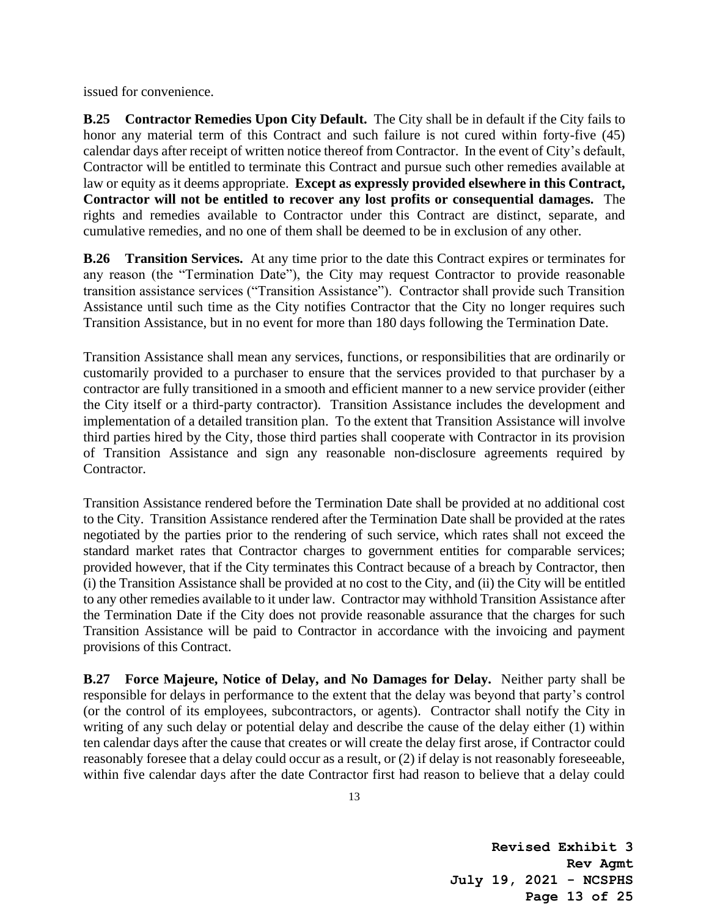issued for convenience.

**B.25 Contractor Remedies Upon City Default.** The City shall be in default if the City fails to honor any material term of this Contract and such failure is not cured within forty-five (45) calendar days after receipt of written notice thereof from Contractor. In the event of City's default, Contractor will be entitled to terminate this Contract and pursue such other remedies available at law or equity as it deems appropriate. **Except as expressly provided elsewhere in this Contract, Contractor will not be entitled to recover any lost profits or consequential damages.** The rights and remedies available to Contractor under this Contract are distinct, separate, and cumulative remedies, and no one of them shall be deemed to be in exclusion of any other.

**B.26 Transition Services.** At any time prior to the date this Contract expires or terminates for any reason (the "Termination Date"), the City may request Contractor to provide reasonable transition assistance services ("Transition Assistance"). Contractor shall provide such Transition Assistance until such time as the City notifies Contractor that the City no longer requires such Transition Assistance, but in no event for more than 180 days following the Termination Date.

Transition Assistance shall mean any services, functions, or responsibilities that are ordinarily or customarily provided to a purchaser to ensure that the services provided to that purchaser by a contractor are fully transitioned in a smooth and efficient manner to a new service provider (either the City itself or a third-party contractor). Transition Assistance includes the development and implementation of a detailed transition plan. To the extent that Transition Assistance will involve third parties hired by the City, those third parties shall cooperate with Contractor in its provision of Transition Assistance and sign any reasonable non-disclosure agreements required by Contractor.

Transition Assistance rendered before the Termination Date shall be provided at no additional cost to the City. Transition Assistance rendered after the Termination Date shall be provided at the rates negotiated by the parties prior to the rendering of such service, which rates shall not exceed the standard market rates that Contractor charges to government entities for comparable services; provided however, that if the City terminates this Contract because of a breach by Contractor, then (i) the Transition Assistance shall be provided at no cost to the City, and (ii) the City will be entitled to any other remedies available to it under law. Contractor may withhold Transition Assistance after the Termination Date if the City does not provide reasonable assurance that the charges for such Transition Assistance will be paid to Contractor in accordance with the invoicing and payment provisions of this Contract.

**B.27 Force Majeure, Notice of Delay, and No Damages for Delay.** Neither party shall be responsible for delays in performance to the extent that the delay was beyond that party's control (or the control of its employees, subcontractors, or agents). Contractor shall notify the City in writing of any such delay or potential delay and describe the cause of the delay either (1) within ten calendar days after the cause that creates or will create the delay first arose, if Contractor could reasonably foresee that a delay could occur as a result, or (2) if delay is not reasonably foreseeable, within five calendar days after the date Contractor first had reason to believe that a delay could

**Revised Exhibit 3 Rev Agmt July 19, 2021 - NCSPHS Page 13 of 25**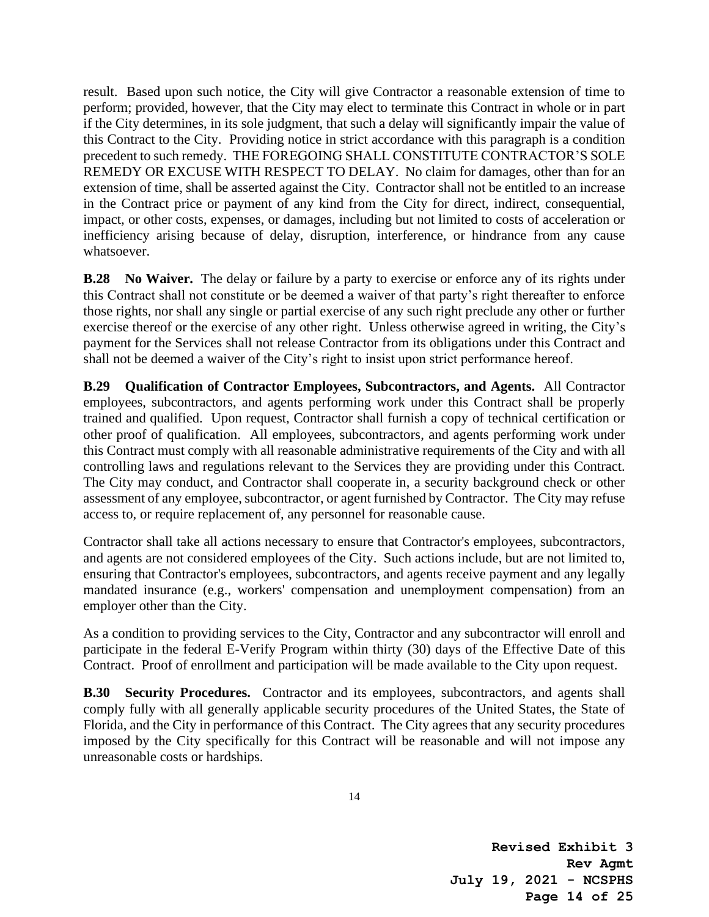result. Based upon such notice, the City will give Contractor a reasonable extension of time to perform; provided, however, that the City may elect to terminate this Contract in whole or in part if the City determines, in its sole judgment, that such a delay will significantly impair the value of this Contract to the City. Providing notice in strict accordance with this paragraph is a condition precedent to such remedy. THE FOREGOING SHALL CONSTITUTE CONTRACTOR'S SOLE REMEDY OR EXCUSE WITH RESPECT TO DELAY. No claim for damages, other than for an extension of time, shall be asserted against the City. Contractor shall not be entitled to an increase in the Contract price or payment of any kind from the City for direct, indirect, consequential, impact, or other costs, expenses, or damages, including but not limited to costs of acceleration or inefficiency arising because of delay, disruption, interference, or hindrance from any cause whatsoever.

**B.28 No Waiver.** The delay or failure by a party to exercise or enforce any of its rights under this Contract shall not constitute or be deemed a waiver of that party's right thereafter to enforce those rights, nor shall any single or partial exercise of any such right preclude any other or further exercise thereof or the exercise of any other right. Unless otherwise agreed in writing, the City's payment for the Services shall not release Contractor from its obligations under this Contract and shall not be deemed a waiver of the City's right to insist upon strict performance hereof.

**B.29 Qualification of Contractor Employees, Subcontractors, and Agents.** All Contractor employees, subcontractors, and agents performing work under this Contract shall be properly trained and qualified. Upon request, Contractor shall furnish a copy of technical certification or other proof of qualification. All employees, subcontractors, and agents performing work under this Contract must comply with all reasonable administrative requirements of the City and with all controlling laws and regulations relevant to the Services they are providing under this Contract. The City may conduct, and Contractor shall cooperate in, a security background check or other assessment of any employee, subcontractor, or agent furnished by Contractor. The City may refuse access to, or require replacement of, any personnel for reasonable cause.

Contractor shall take all actions necessary to ensure that Contractor's employees, subcontractors, and agents are not considered employees of the City. Such actions include, but are not limited to, ensuring that Contractor's employees, subcontractors, and agents receive payment and any legally mandated insurance (e.g., workers' compensation and unemployment compensation) from an employer other than the City.

As a condition to providing services to the City, Contractor and any subcontractor will enroll and participate in the federal E-Verify Program within thirty (30) days of the Effective Date of this Contract. Proof of enrollment and participation will be made available to the City upon request.

**B.30 Security Procedures.** Contractor and its employees, subcontractors, and agents shall comply fully with all generally applicable security procedures of the United States, the State of Florida, and the City in performance of this Contract. The City agrees that any security procedures imposed by the City specifically for this Contract will be reasonable and will not impose any unreasonable costs or hardships.

**Revised Exhibit 3 Rev Agmt July 19, 2021 - NCSPHS Page 14 of 25**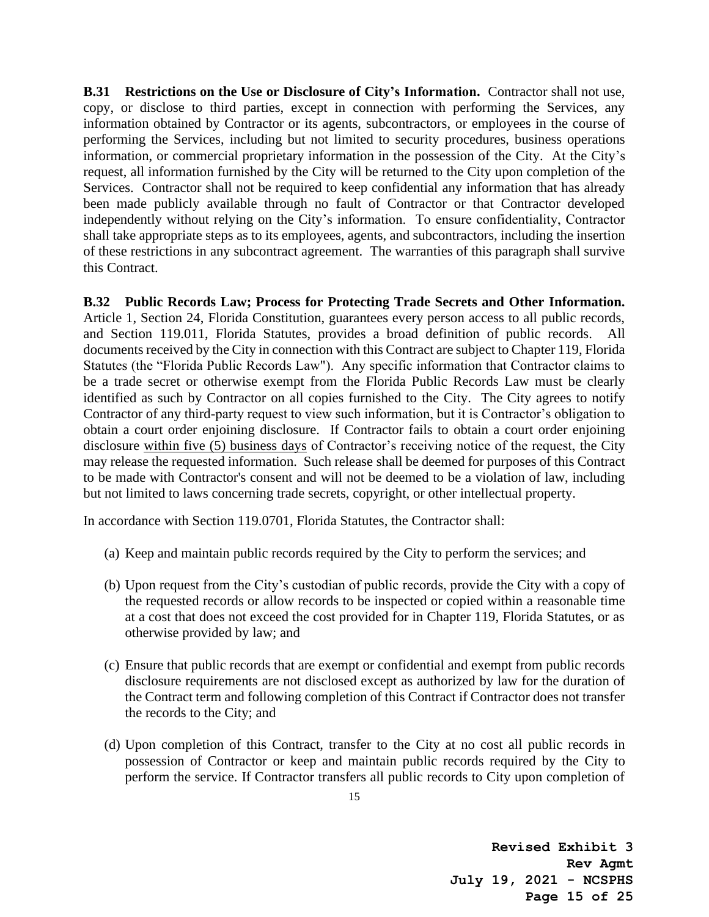**B.31 Restrictions on the Use or Disclosure of City's Information.** Contractor shall not use, copy, or disclose to third parties, except in connection with performing the Services, any information obtained by Contractor or its agents, subcontractors, or employees in the course of performing the Services, including but not limited to security procedures, business operations information, or commercial proprietary information in the possession of the City. At the City's request, all information furnished by the City will be returned to the City upon completion of the Services. Contractor shall not be required to keep confidential any information that has already been made publicly available through no fault of Contractor or that Contractor developed independently without relying on the City's information. To ensure confidentiality, Contractor shall take appropriate steps as to its employees, agents, and subcontractors, including the insertion of these restrictions in any subcontract agreement. The warranties of this paragraph shall survive this Contract.

**B.32 Public Records Law; Process for Protecting Trade Secrets and Other Information.** Article 1, Section 24, Florida Constitution, guarantees every person access to all public records, and Section 119.011, Florida Statutes, provides a broad definition of public records. All documents received by the City in connection with this Contract are subject to Chapter 119, Florida Statutes (the "Florida Public Records Law"). Any specific information that Contractor claims to be a trade secret or otherwise exempt from the Florida Public Records Law must be clearly identified as such by Contractor on all copies furnished to the City. The City agrees to notify Contractor of any third-party request to view such information, but it is Contractor's obligation to obtain a court order enjoining disclosure. If Contractor fails to obtain a court order enjoining disclosure within five (5) business days of Contractor's receiving notice of the request, the City may release the requested information. Such release shall be deemed for purposes of this Contract to be made with Contractor's consent and will not be deemed to be a violation of law, including but not limited to laws concerning trade secrets, copyright, or other intellectual property.

In accordance with Section 119.0701, Florida Statutes, the Contractor shall:

- (a) Keep and maintain public records required by the City to perform the services; and
- (b) Upon request from the City's custodian of public records, provide the City with a copy of the requested records or allow records to be inspected or copied within a reasonable time at a cost that does not exceed the cost provided for in Chapter 119, Florida Statutes, or as otherwise provided by law; and
- (c) Ensure that public records that are exempt or confidential and exempt from public records disclosure requirements are not disclosed except as authorized by law for the duration of the Contract term and following completion of this Contract if Contractor does not transfer the records to the City; and
- (d) Upon completion of this Contract, transfer to the City at no cost all public records in possession of Contractor or keep and maintain public records required by the City to perform the service. If Contractor transfers all public records to City upon completion of

**Revised Exhibit 3 Rev Agmt July 19, 2021 - NCSPHS Page 15 of 25**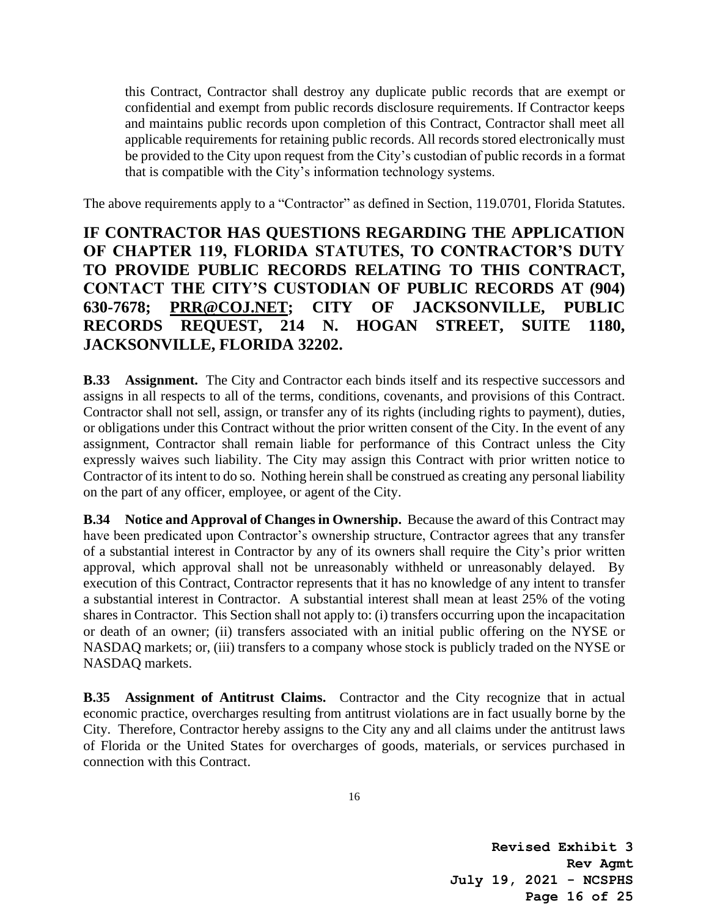this Contract, Contractor shall destroy any duplicate public records that are exempt or confidential and exempt from public records disclosure requirements. If Contractor keeps and maintains public records upon completion of this Contract, Contractor shall meet all applicable requirements for retaining public records. All records stored electronically must be provided to the City upon request from the City's custodian of public records in a format that is compatible with the City's information technology systems.

The above requirements apply to a "Contractor" as defined in Section, 119.0701, Florida Statutes.

# **IF CONTRACTOR HAS QUESTIONS REGARDING THE APPLICATION OF CHAPTER 119, FLORIDA STATUTES, TO CONTRACTOR'S DUTY TO PROVIDE PUBLIC RECORDS RELATING TO THIS CONTRACT, CONTACT THE CITY'S CUSTODIAN OF PUBLIC RECORDS AT (904) 630-7678; PR[R@COJ.NET;](mailto:alexisl@coj.net) CITY OF JACKSONVILLE, PUBLIC RECORDS REQUEST, 214 N. HOGAN STREET, SUITE 1180, JACKSONVILLE, FLORIDA 32202.**

**B.33 Assignment.** The City and Contractor each binds itself and its respective successors and assigns in all respects to all of the terms, conditions, covenants, and provisions of this Contract. Contractor shall not sell, assign, or transfer any of its rights (including rights to payment), duties, or obligations under this Contract without the prior written consent of the City. In the event of any assignment, Contractor shall remain liable for performance of this Contract unless the City expressly waives such liability. The City may assign this Contract with prior written notice to Contractor of its intent to do so. Nothing herein shall be construed as creating any personal liability on the part of any officer, employee, or agent of the City.

**B.34 Notice and Approval of Changes in Ownership.** Because the award of this Contract may have been predicated upon Contractor's ownership structure, Contractor agrees that any transfer of a substantial interest in Contractor by any of its owners shall require the City's prior written approval, which approval shall not be unreasonably withheld or unreasonably delayed. By execution of this Contract, Contractor represents that it has no knowledge of any intent to transfer a substantial interest in Contractor. A substantial interest shall mean at least 25% of the voting shares in Contractor. This Section shall not apply to: (i) transfers occurring upon the incapacitation or death of an owner; (ii) transfers associated with an initial public offering on the NYSE or NASDAQ markets; or, (iii) transfers to a company whose stock is publicly traded on the NYSE or NASDAQ markets.

**B.35 Assignment of Antitrust Claims.** Contractor and the City recognize that in actual economic practice, overcharges resulting from antitrust violations are in fact usually borne by the City. Therefore, Contractor hereby assigns to the City any and all claims under the antitrust laws of Florida or the United States for overcharges of goods, materials, or services purchased in connection with this Contract.

**Revised Exhibit 3 Rev Agmt July 19, 2021 - NCSPHS Page 16 of 25**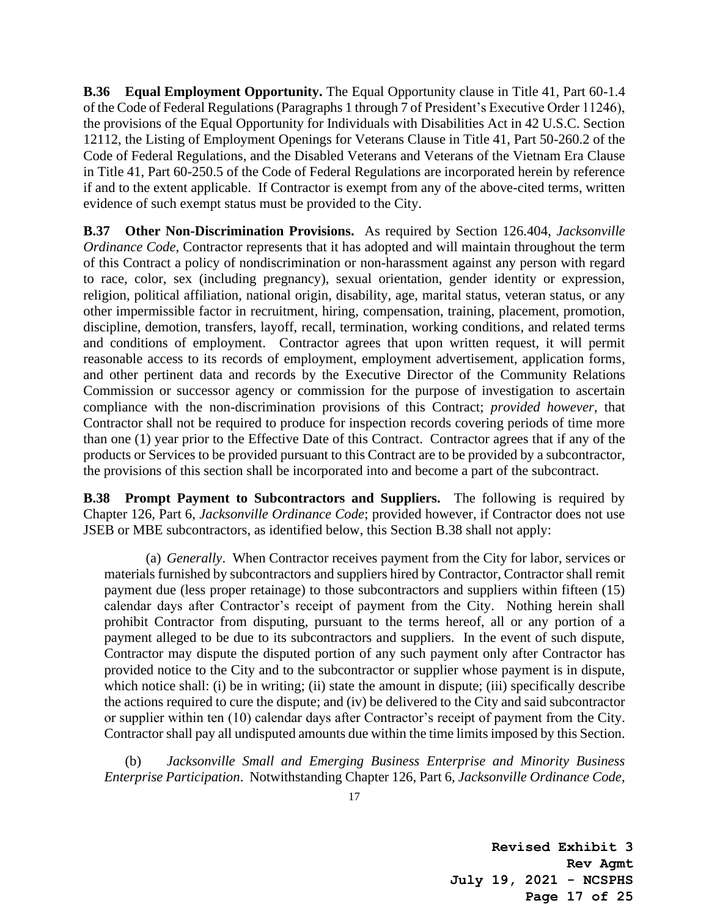**B.36 Equal Employment Opportunity.** The Equal Opportunity clause in Title 41, Part 60-1.4 of the Code of Federal Regulations (Paragraphs 1 through 7 of President's Executive Order 11246), the provisions of the Equal Opportunity for Individuals with Disabilities Act in 42 U.S.C. Section 12112, the Listing of Employment Openings for Veterans Clause in Title 41, Part 50-260.2 of the Code of Federal Regulations, and the Disabled Veterans and Veterans of the Vietnam Era Clause in Title 41, Part 60-250.5 of the Code of Federal Regulations are incorporated herein by reference if and to the extent applicable. If Contractor is exempt from any of the above-cited terms, written evidence of such exempt status must be provided to the City.

**B.37 Other Non-Discrimination Provisions.** As required by Section 126.404, *Jacksonville Ordinance Code*, Contractor represents that it has adopted and will maintain throughout the term of this Contract a policy of nondiscrimination or non-harassment against any person with regard to race, color, sex (including pregnancy), sexual orientation, gender identity or expression, religion, political affiliation, national origin, disability, age, marital status, veteran status, or any other impermissible factor in recruitment, hiring, compensation, training, placement, promotion, discipline, demotion, transfers, layoff, recall, termination, working conditions, and related terms and conditions of employment. Contractor agrees that upon written request, it will permit reasonable access to its records of employment, employment advertisement, application forms, and other pertinent data and records by the Executive Director of the Community Relations Commission or successor agency or commission for the purpose of investigation to ascertain compliance with the non-discrimination provisions of this Contract; *provided however*, that Contractor shall not be required to produce for inspection records covering periods of time more than one (1) year prior to the Effective Date of this Contract. Contractor agrees that if any of the products or Services to be provided pursuant to this Contract are to be provided by a subcontractor, the provisions of this section shall be incorporated into and become a part of the subcontract.

**B.38 Prompt Payment to Subcontractors and Suppliers.** The following is required by Chapter 126, Part 6, *Jacksonville Ordinance Code*; provided however, if Contractor does not use JSEB or MBE subcontractors, as identified below, this Section B.38 shall not apply:

(a) *Generally*. When Contractor receives payment from the City for labor, services or materials furnished by subcontractors and suppliers hired by Contractor, Contractor shall remit payment due (less proper retainage) to those subcontractors and suppliers within fifteen (15) calendar days after Contractor's receipt of payment from the City. Nothing herein shall prohibit Contractor from disputing, pursuant to the terms hereof, all or any portion of a payment alleged to be due to its subcontractors and suppliers. In the event of such dispute, Contractor may dispute the disputed portion of any such payment only after Contractor has provided notice to the City and to the subcontractor or supplier whose payment is in dispute, which notice shall: (i) be in writing; (ii) state the amount in dispute; (iii) specifically describe the actions required to cure the dispute; and (iv) be delivered to the City and said subcontractor or supplier within ten (10) calendar days after Contractor's receipt of payment from the City. Contractor shall pay all undisputed amounts due within the time limits imposed by this Section.

(b) *Jacksonville Small and Emerging Business Enterprise and Minority Business Enterprise Participation*. Notwithstanding Chapter 126, Part 6, *Jacksonville Ordinance Code*,

**Revised Exhibit 3 Rev Agmt July 19, 2021 - NCSPHS Page 17 of 25**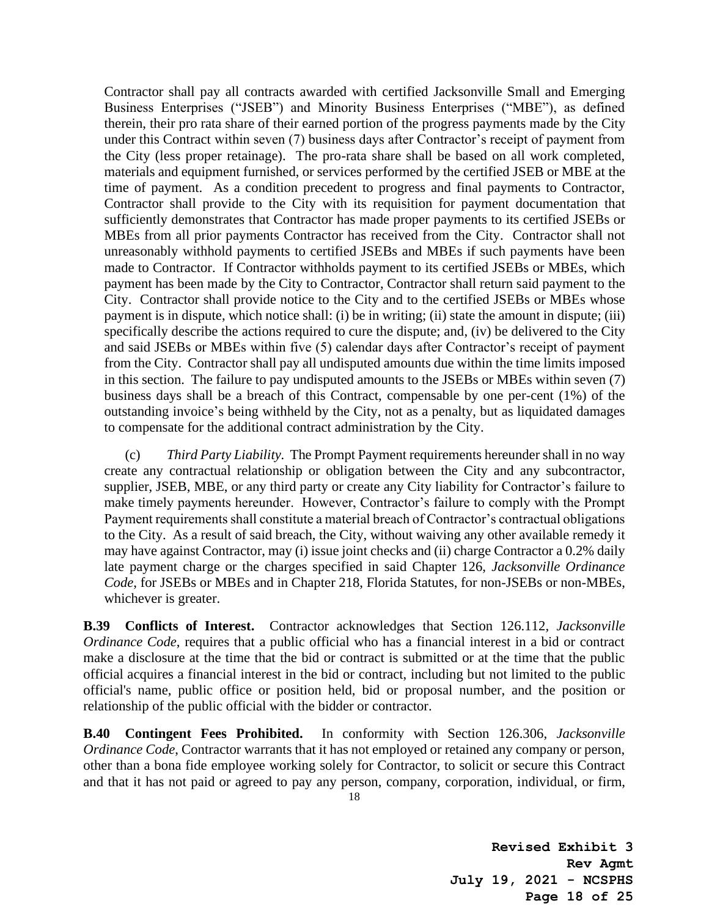Contractor shall pay all contracts awarded with certified Jacksonville Small and Emerging Business Enterprises ("JSEB") and Minority Business Enterprises ("MBE"), as defined therein, their pro rata share of their earned portion of the progress payments made by the City under this Contract within seven (7) business days after Contractor's receipt of payment from the City (less proper retainage). The pro-rata share shall be based on all work completed, materials and equipment furnished, or services performed by the certified JSEB or MBE at the time of payment. As a condition precedent to progress and final payments to Contractor, Contractor shall provide to the City with its requisition for payment documentation that sufficiently demonstrates that Contractor has made proper payments to its certified JSEBs or MBEs from all prior payments Contractor has received from the City. Contractor shall not unreasonably withhold payments to certified JSEBs and MBEs if such payments have been made to Contractor. If Contractor withholds payment to its certified JSEBs or MBEs, which payment has been made by the City to Contractor, Contractor shall return said payment to the City. Contractor shall provide notice to the City and to the certified JSEBs or MBEs whose payment is in dispute, which notice shall: (i) be in writing; (ii) state the amount in dispute; (iii) specifically describe the actions required to cure the dispute; and, (iv) be delivered to the City and said JSEBs or MBEs within five (5) calendar days after Contractor's receipt of payment from the City. Contractor shall pay all undisputed amounts due within the time limits imposed in this section. The failure to pay undisputed amounts to the JSEBs or MBEs within seven (7) business days shall be a breach of this Contract, compensable by one per-cent (1%) of the outstanding invoice's being withheld by the City, not as a penalty, but as liquidated damages to compensate for the additional contract administration by the City.

(c) *Third Party Liability.* The Prompt Payment requirements hereunder shall in no way create any contractual relationship or obligation between the City and any subcontractor, supplier, JSEB, MBE, or any third party or create any City liability for Contractor's failure to make timely payments hereunder. However, Contractor's failure to comply with the Prompt Payment requirements shall constitute a material breach of Contractor's contractual obligations to the City. As a result of said breach, the City, without waiving any other available remedy it may have against Contractor, may (i) issue joint checks and (ii) charge Contractor a 0.2% daily late payment charge or the charges specified in said Chapter 126, *Jacksonville Ordinance Code*, for JSEBs or MBEs and in Chapter 218, Florida Statutes, for non-JSEBs or non-MBEs, whichever is greater.

**B.39 Conflicts of Interest.** Contractor acknowledges that Section 126.112, *Jacksonville Ordinance Code*, requires that a public official who has a financial interest in a bid or contract make a disclosure at the time that the bid or contract is submitted or at the time that the public official acquires a financial interest in the bid or contract, including but not limited to the public official's name, public office or position held, bid or proposal number, and the position or relationship of the public official with the bidder or contractor.

**B.40 Contingent Fees Prohibited.** In conformity with Section 126.306, *Jacksonville Ordinance Code*, Contractor warrants that it has not employed or retained any company or person, other than a bona fide employee working solely for Contractor, to solicit or secure this Contract and that it has not paid or agreed to pay any person, company, corporation, individual, or firm,

**Revised Exhibit 3 Rev Agmt July 19, 2021 - NCSPHS Page 18 of 25**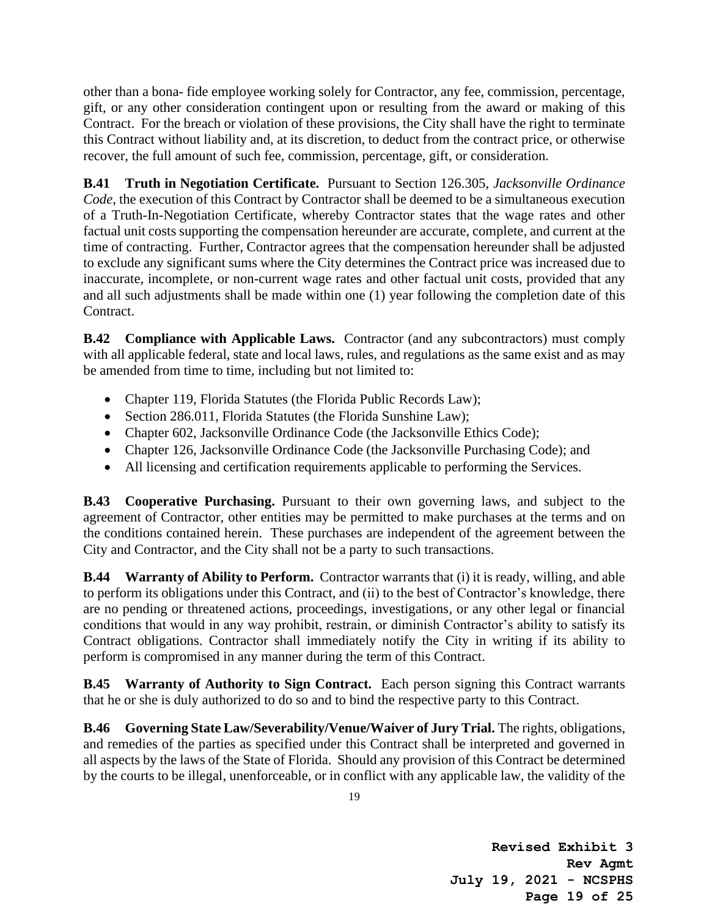other than a bona- fide employee working solely for Contractor, any fee, commission, percentage, gift, or any other consideration contingent upon or resulting from the award or making of this Contract. For the breach or violation of these provisions, the City shall have the right to terminate this Contract without liability and, at its discretion, to deduct from the contract price, or otherwise recover, the full amount of such fee, commission, percentage, gift, or consideration.

**B.41 Truth in Negotiation Certificate.** Pursuant to Section 126.305, *Jacksonville Ordinance Code*, the execution of this Contract by Contractor shall be deemed to be a simultaneous execution of a Truth-In-Negotiation Certificate, whereby Contractor states that the wage rates and other factual unit costs supporting the compensation hereunder are accurate, complete, and current at the time of contracting. Further, Contractor agrees that the compensation hereunder shall be adjusted to exclude any significant sums where the City determines the Contract price was increased due to inaccurate, incomplete, or non-current wage rates and other factual unit costs, provided that any and all such adjustments shall be made within one (1) year following the completion date of this Contract.

**B.42 Compliance with Applicable Laws.** Contractor (and any subcontractors) must comply with all applicable federal, state and local laws, rules, and regulations as the same exist and as may be amended from time to time, including but not limited to:

- Chapter 119, Florida Statutes (the Florida Public Records Law);
- Section 286.011, Florida Statutes (the Florida Sunshine Law);
- Chapter 602, Jacksonville Ordinance Code (the Jacksonville Ethics Code);
- Chapter 126, Jacksonville Ordinance Code (the Jacksonville Purchasing Code); and
- All licensing and certification requirements applicable to performing the Services.

**B.43 Cooperative Purchasing.** Pursuant to their own governing laws, and subject to the agreement of Contractor, other entities may be permitted to make purchases at the terms and on the conditions contained herein. These purchases are independent of the agreement between the City and Contractor, and the City shall not be a party to such transactions.

**B.44 Warranty of Ability to Perform.** Contractor warrants that (i) it is ready, willing, and able to perform its obligations under this Contract, and (ii) to the best of Contractor's knowledge, there are no pending or threatened actions, proceedings, investigations, or any other legal or financial conditions that would in any way prohibit, restrain, or diminish Contractor's ability to satisfy its Contract obligations. Contractor shall immediately notify the City in writing if its ability to perform is compromised in any manner during the term of this Contract.

**B.45 Warranty of Authority to Sign Contract.** Each person signing this Contract warrants that he or she is duly authorized to do so and to bind the respective party to this Contract.

**B.46 Governing State Law/Severability/Venue/Waiver of Jury Trial.** The rights, obligations, and remedies of the parties as specified under this Contract shall be interpreted and governed in all aspects by the laws of the State of Florida. Should any provision of this Contract be determined by the courts to be illegal, unenforceable, or in conflict with any applicable law, the validity of the

**Revised Exhibit 3 Rev Agmt July 19, 2021 - NCSPHS Page 19 of 25**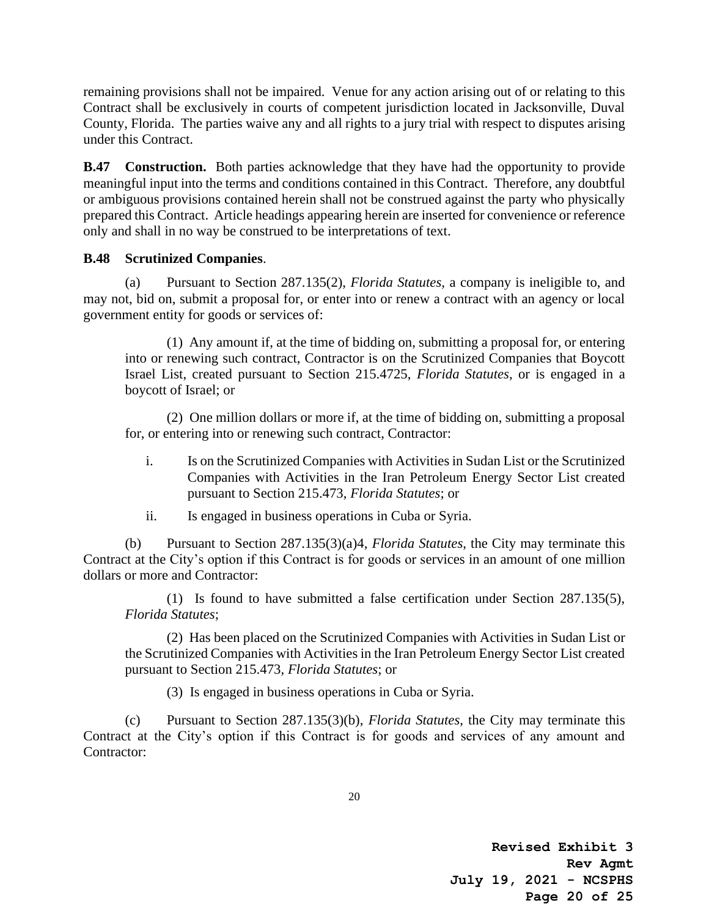remaining provisions shall not be impaired. Venue for any action arising out of or relating to this Contract shall be exclusively in courts of competent jurisdiction located in Jacksonville, Duval County, Florida. The parties waive any and all rights to a jury trial with respect to disputes arising under this Contract.

**B.47 Construction.** Both parties acknowledge that they have had the opportunity to provide meaningful input into the terms and conditions contained in this Contract. Therefore, any doubtful or ambiguous provisions contained herein shall not be construed against the party who physically prepared this Contract. Article headings appearing herein are inserted for convenience or reference only and shall in no way be construed to be interpretations of text.

### **B.48 Scrutinized Companies**.

(a) Pursuant to Section 287.135(2), *Florida Statutes*, a company is ineligible to, and may not, bid on, submit a proposal for, or enter into or renew a contract with an agency or local government entity for goods or services of:

(1) Any amount if, at the time of bidding on, submitting a proposal for, or entering into or renewing such contract, Contractor is on the Scrutinized Companies that Boycott Israel List, created pursuant to Section 215.4725, *Florida Statutes*, or is engaged in a boycott of Israel; or

(2) One million dollars or more if, at the time of bidding on, submitting a proposal for, or entering into or renewing such contract, Contractor:

- i. Is on the Scrutinized Companies with Activities in Sudan List or the Scrutinized Companies with Activities in the Iran Petroleum Energy Sector List created pursuant to Section 215.473, *Florida Statutes*; or
- ii. Is engaged in business operations in Cuba or Syria.

(b) Pursuant to Section 287.135(3)(a)4, *Florida Statutes*, the City may terminate this Contract at the City's option if this Contract is for goods or services in an amount of one million dollars or more and Contractor:

(1) Is found to have submitted a false certification under Section 287.135(5), *Florida Statutes*;

(2) Has been placed on the Scrutinized Companies with Activities in Sudan List or the Scrutinized Companies with Activities in the Iran Petroleum Energy Sector List created pursuant to Section 215.473, *Florida Statutes*; or

(3) Is engaged in business operations in Cuba or Syria.

(c) Pursuant to Section 287.135(3)(b), *Florida Statutes*, the City may terminate this Contract at the City's option if this Contract is for goods and services of any amount and Contractor:

**Revised Exhibit 3 Rev Agmt July 19, 2021 - NCSPHS Page 20 of 25**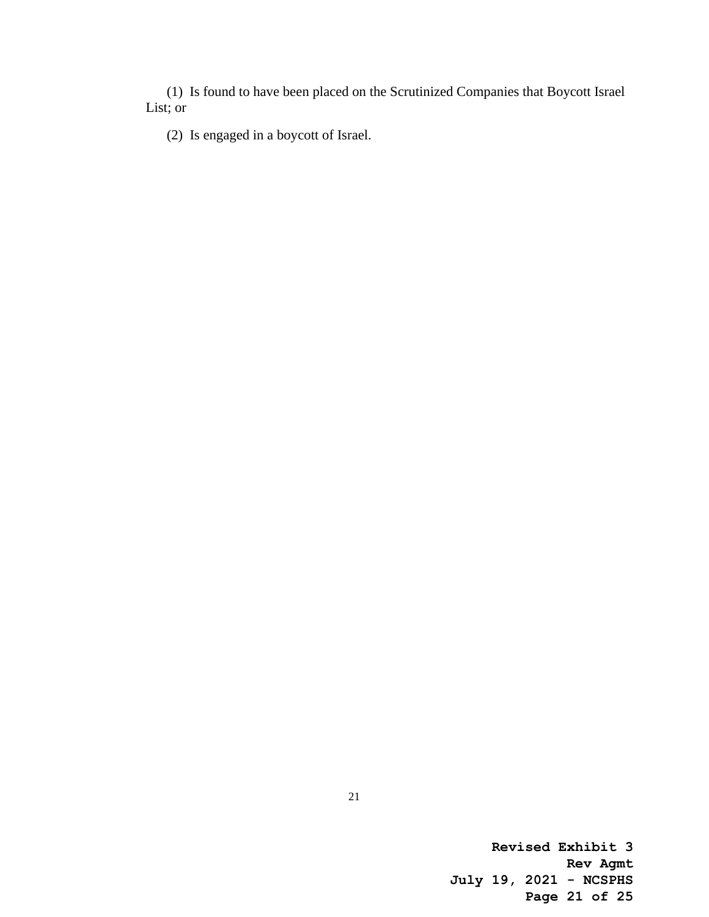(1) Is found to have been placed on the Scrutinized Companies that Boycott Israel List; or

(2) Is engaged in a boycott of Israel.

**Revised Exhibit 3 Rev Agmt July 19, 2021 - NCSPHS Page 21 of 25**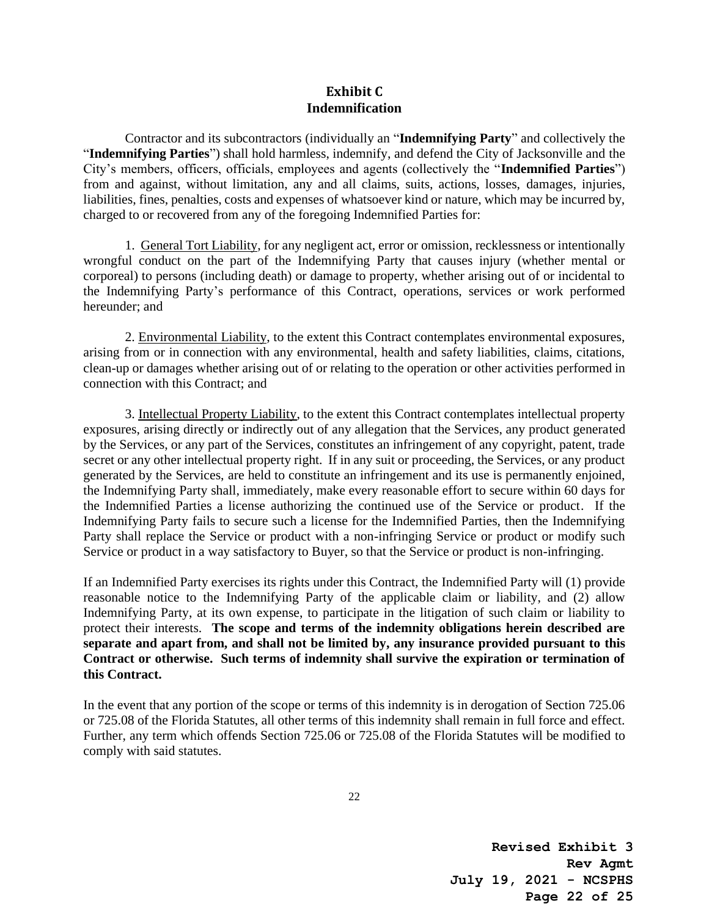#### **Exhibit C Indemnification**

Contractor and its subcontractors (individually an "**Indemnifying Party**" and collectively the "**Indemnifying Parties**") shall hold harmless, indemnify, and defend the City of Jacksonville and the City's members, officers, officials, employees and agents (collectively the "**Indemnified Parties**") from and against, without limitation, any and all claims, suits, actions, losses, damages, injuries, liabilities, fines, penalties, costs and expenses of whatsoever kind or nature, which may be incurred by, charged to or recovered from any of the foregoing Indemnified Parties for:

1. General Tort Liability, for any negligent act, error or omission, recklessness or intentionally wrongful conduct on the part of the Indemnifying Party that causes injury (whether mental or corporeal) to persons (including death) or damage to property, whether arising out of or incidental to the Indemnifying Party's performance of this Contract, operations, services or work performed hereunder; and

2. Environmental Liability, to the extent this Contract contemplates environmental exposures, arising from or in connection with any environmental, health and safety liabilities, claims, citations, clean-up or damages whether arising out of or relating to the operation or other activities performed in connection with this Contract; and

3. Intellectual Property Liability, to the extent this Contract contemplates intellectual property exposures, arising directly or indirectly out of any allegation that the Services, any product generated by the Services, or any part of the Services, constitutes an infringement of any copyright, patent, trade secret or any other intellectual property right. If in any suit or proceeding, the Services, or any product generated by the Services, are held to constitute an infringement and its use is permanently enjoined, the Indemnifying Party shall, immediately, make every reasonable effort to secure within 60 days for the Indemnified Parties a license authorizing the continued use of the Service or product. If the Indemnifying Party fails to secure such a license for the Indemnified Parties, then the Indemnifying Party shall replace the Service or product with a non-infringing Service or product or modify such Service or product in a way satisfactory to Buyer, so that the Service or product is non-infringing.

If an Indemnified Party exercises its rights under this Contract, the Indemnified Party will (1) provide reasonable notice to the Indemnifying Party of the applicable claim or liability, and (2) allow Indemnifying Party, at its own expense, to participate in the litigation of such claim or liability to protect their interests. **The scope and terms of the indemnity obligations herein described are separate and apart from, and shall not be limited by, any insurance provided pursuant to this Contract or otherwise. Such terms of indemnity shall survive the expiration or termination of this Contract.**

In the event that any portion of the scope or terms of this indemnity is in derogation of Section 725.06 or 725.08 of the Florida Statutes, all other terms of this indemnity shall remain in full force and effect. Further, any term which offends Section 725.06 or 725.08 of the Florida Statutes will be modified to comply with said statutes.

**Revised Exhibit 3 Rev Agmt July 19, 2021 - NCSPHS Page 22 of 25**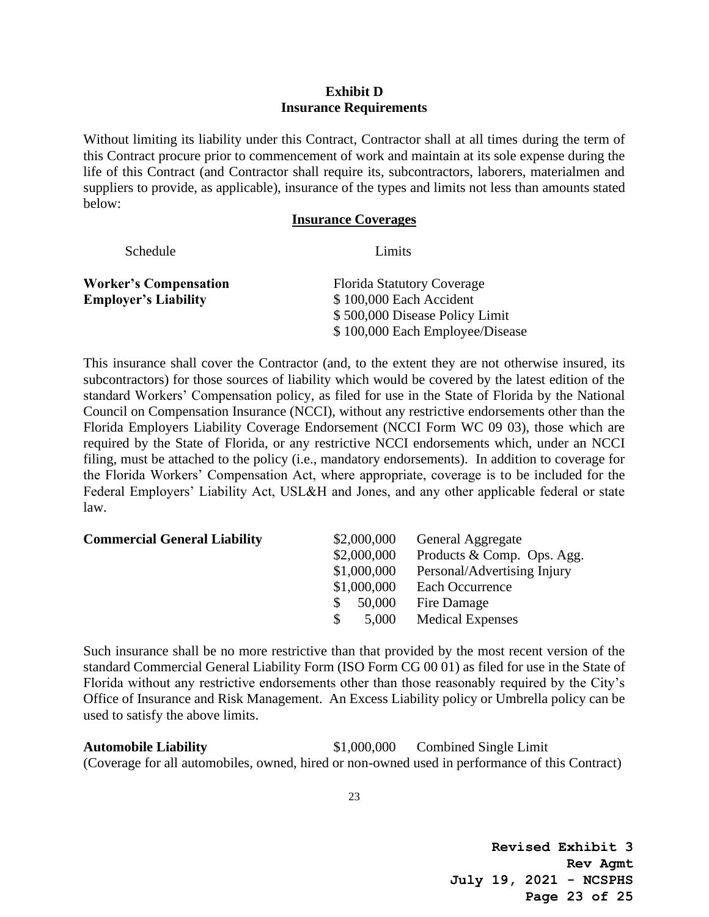#### **Exhibit D Insurance Requirements**

Without limiting its liability under this Contract, Contractor shall at all times during the term of this Contract procure prior to commencement of work and maintain at its sole expense during the life of this Contract (and Contractor shall require its, subcontractors, laborers, materialmen and suppliers to provide, as applicable), insurance of the types and limits not less than amounts stated below:

#### **Insurance Coverages**

| Schedule                     | Limits                            |
|------------------------------|-----------------------------------|
| <b>Worker's Compensation</b> | <b>Florida Statutory Coverage</b> |
| <b>Employer's Liability</b>  | \$100,000 Each Accident           |
|                              | \$500,000 Disease Policy Limit    |
|                              | \$100,000 Each Employee/Disease   |

This insurance shall cover the Contractor (and, to the extent they are not otherwise insured, its subcontractors) for those sources of liability which would be covered by the latest edition of the standard Workers' Compensation policy, as filed for use in the State of Florida by the National Council on Compensation Insurance (NCCI), without any restrictive endorsements other than the Florida Employers Liability Coverage Endorsement (NCCI Form WC 09 03), those which are required by the State of Florida, or any restrictive NCCI endorsements which, under an NCCI filing, must be attached to the policy (i.e., mandatory endorsements). In addition to coverage for the Florida Workers' Compensation Act, where appropriate, coverage is to be included for the Federal Employers' Liability Act, USL&H and Jones, and any other applicable federal or state law.

| <b>Commercial General Liability</b> | \$2,000,000            | <b>General Aggregate</b>    |
|-------------------------------------|------------------------|-----------------------------|
|                                     | \$2,000,000            | Products & Comp. Ops. Agg.  |
|                                     | \$1,000,000            | Personal/Advertising Injury |
|                                     | \$1,000,000            | Each Occurrence             |
|                                     | 50,000<br>S.           | Fire Damage                 |
|                                     | 5,000<br><sup>\$</sup> | <b>Medical Expenses</b>     |
|                                     |                        |                             |

Such insurance shall be no more restrictive than that provided by the most recent version of the standard Commercial General Liability Form (ISO Form CG 00 01) as filed for use in the State of Florida without any restrictive endorsements other than those reasonably required by the City's Office of Insurance and Risk Management. An Excess Liability policy or Umbrella policy can be used to satisfy the above limits.

**Automobile Liability** \$1,000,000 Combined Single Limit (Coverage for all automobiles, owned, hired or non-owned used in performance of this Contract)

**Revised Exhibit 3 Rev Agmt July 19, 2021 - NCSPHS Page 23 of 25**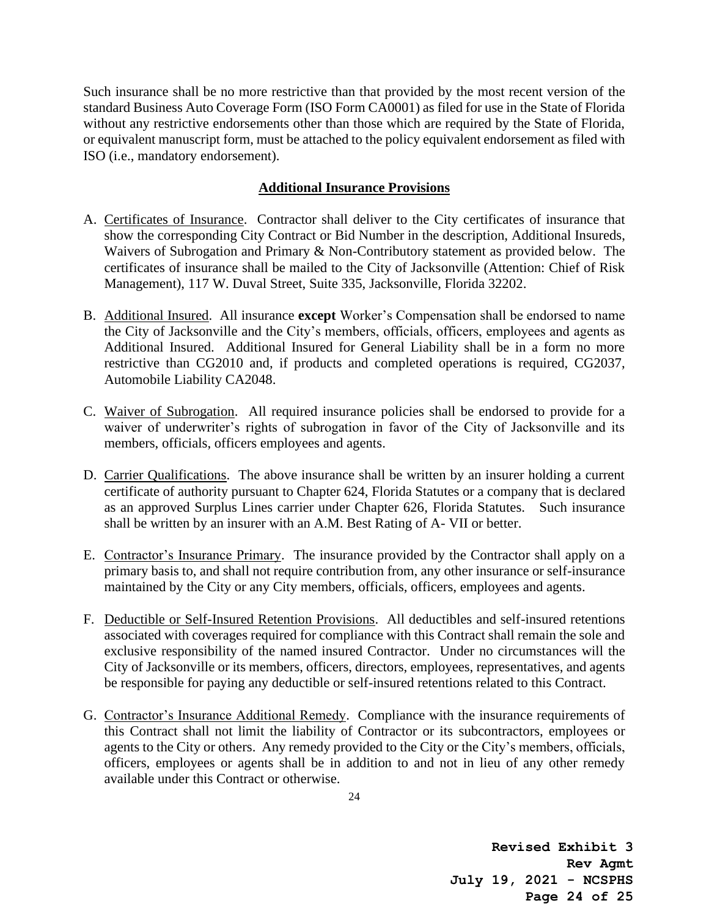Such insurance shall be no more restrictive than that provided by the most recent version of the standard Business Auto Coverage Form (ISO Form CA0001) as filed for use in the State of Florida without any restrictive endorsements other than those which are required by the State of Florida, or equivalent manuscript form, must be attached to the policy equivalent endorsement as filed with ISO (i.e., mandatory endorsement).

#### **Additional Insurance Provisions**

- A. Certificates of Insurance. Contractor shall deliver to the City certificates of insurance that show the corresponding City Contract or Bid Number in the description, Additional Insureds, Waivers of Subrogation and Primary & Non-Contributory statement as provided below. The certificates of insurance shall be mailed to the City of Jacksonville (Attention: Chief of Risk Management), 117 W. Duval Street, Suite 335, Jacksonville, Florida 32202.
- B. Additional Insured. All insurance **except** Worker's Compensation shall be endorsed to name the City of Jacksonville and the City's members, officials, officers, employees and agents as Additional Insured. Additional Insured for General Liability shall be in a form no more restrictive than CG2010 and, if products and completed operations is required, CG2037, Automobile Liability CA2048.
- C. Waiver of Subrogation. All required insurance policies shall be endorsed to provide for a waiver of underwriter's rights of subrogation in favor of the City of Jacksonville and its members, officials, officers employees and agents.
- D. Carrier Qualifications. The above insurance shall be written by an insurer holding a current certificate of authority pursuant to Chapter 624, Florida Statutes or a company that is declared as an approved Surplus Lines carrier under Chapter 626, Florida Statutes. Such insurance shall be written by an insurer with an A.M. Best Rating of A- VII or better.
- E. Contractor's Insurance Primary. The insurance provided by the Contractor shall apply on a primary basis to, and shall not require contribution from, any other insurance or self-insurance maintained by the City or any City members, officials, officers, employees and agents.
- F. Deductible or Self-Insured Retention Provisions. All deductibles and self-insured retentions associated with coverages required for compliance with this Contract shall remain the sole and exclusive responsibility of the named insured Contractor. Under no circumstances will the City of Jacksonville or its members, officers, directors, employees, representatives, and agents be responsible for paying any deductible or self-insured retentions related to this Contract.
- G. Contractor's Insurance Additional Remedy. Compliance with the insurance requirements of this Contract shall not limit the liability of Contractor or its subcontractors, employees or agents to the City or others. Any remedy provided to the City or the City's members, officials, officers, employees or agents shall be in addition to and not in lieu of any other remedy available under this Contract or otherwise.

**Revised Exhibit 3 Rev Agmt July 19, 2021 - NCSPHS Page 24 of 25**